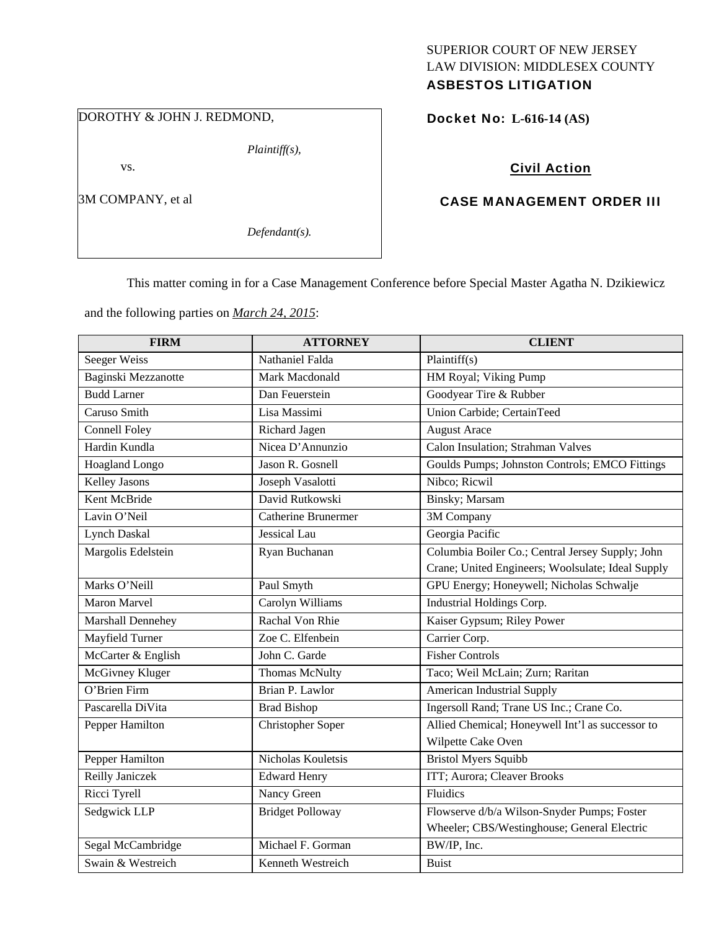# SUPERIOR COURT OF NEW JERSEY LAW DIVISION: MIDDLESEX COUNTY

# ASBESTOS LITIGATION

DOROTHY & JOHN J. REDMOND,

vs.

3M COMPANY, et al

*Defendant(s).* 

*Plaintiff(s),* 

## Docket No: **L-616-14 (AS)**

# Civil Action

# CASE MANAGEMENT ORDER III

This matter coming in for a Case Management Conference before Special Master Agatha N. Dzikiewicz

and the following parties on *March 24, 2015*:

| <b>FIRM</b>          | <b>ATTORNEY</b>         | <b>CLIENT</b>                                     |
|----------------------|-------------------------|---------------------------------------------------|
| Seeger Weiss         | Nathaniel Falda         | Plaintiff(s)                                      |
| Baginski Mezzanotte  | Mark Macdonald          | HM Royal; Viking Pump                             |
| <b>Budd Larner</b>   | Dan Feuerstein          | Goodyear Tire & Rubber                            |
| Caruso Smith         | Lisa Massimi            | <b>Union Carbide</b> ; CertainTeed                |
| <b>Connell Foley</b> | Richard Jagen           | <b>August Arace</b>                               |
| Hardin Kundla        | Nicea D'Annunzio        | Calon Insulation; Strahman Valves                 |
| Hoagland Longo       | Jason R. Gosnell        | Goulds Pumps; Johnston Controls; EMCO Fittings    |
| <b>Kelley Jasons</b> | Joseph Vasalotti        | Nibco; Ricwil                                     |
| Kent McBride         | David Rutkowski         | Binsky; Marsam                                    |
| Lavin O'Neil         | Catherine Brunermer     | 3M Company                                        |
| <b>Lynch Daskal</b>  | Jessical Lau            | Georgia Pacific                                   |
| Margolis Edelstein   | Ryan Buchanan           | Columbia Boiler Co.; Central Jersey Supply; John  |
|                      |                         | Crane; United Engineers; Woolsulate; Ideal Supply |
| Marks O'Neill        | Paul Smyth              | GPU Energy; Honeywell; Nicholas Schwalje          |
| Maron Marvel         | Carolyn Williams        | Industrial Holdings Corp.                         |
| Marshall Dennehey    | Rachal Von Rhie         | Kaiser Gypsum; Riley Power                        |
| Mayfield Turner      | Zoe C. Elfenbein        | Carrier Corp.                                     |
| McCarter & English   | John C. Garde           | <b>Fisher Controls</b>                            |
| McGivney Kluger      | <b>Thomas McNulty</b>   | Taco; Weil McLain; Zurn; Raritan                  |
| O'Brien Firm         | Brian P. Lawlor         | <b>American Industrial Supply</b>                 |
| Pascarella DiVita    | <b>Brad Bishop</b>      | Ingersoll Rand; Trane US Inc.; Crane Co.          |
| Pepper Hamilton      | Christopher Soper       | Allied Chemical; Honeywell Int'l as successor to  |
|                      |                         | Wilpette Cake Oven                                |
| Pepper Hamilton      | Nicholas Kouletsis      | <b>Bristol Myers Squibb</b>                       |
| Reilly Janiczek      | <b>Edward Henry</b>     | ITT; Aurora; Cleaver Brooks                       |
| Ricci Tyrell         | Nancy Green             | Fluidics                                          |
| Sedgwick LLP         | <b>Bridget Polloway</b> | Flowserve d/b/a Wilson-Snyder Pumps; Foster       |
|                      |                         | Wheeler; CBS/Westinghouse; General Electric       |
| Segal McCambridge    | Michael F. Gorman       | BW/IP, Inc.                                       |
| Swain & Westreich    | Kenneth Westreich       | <b>Buist</b>                                      |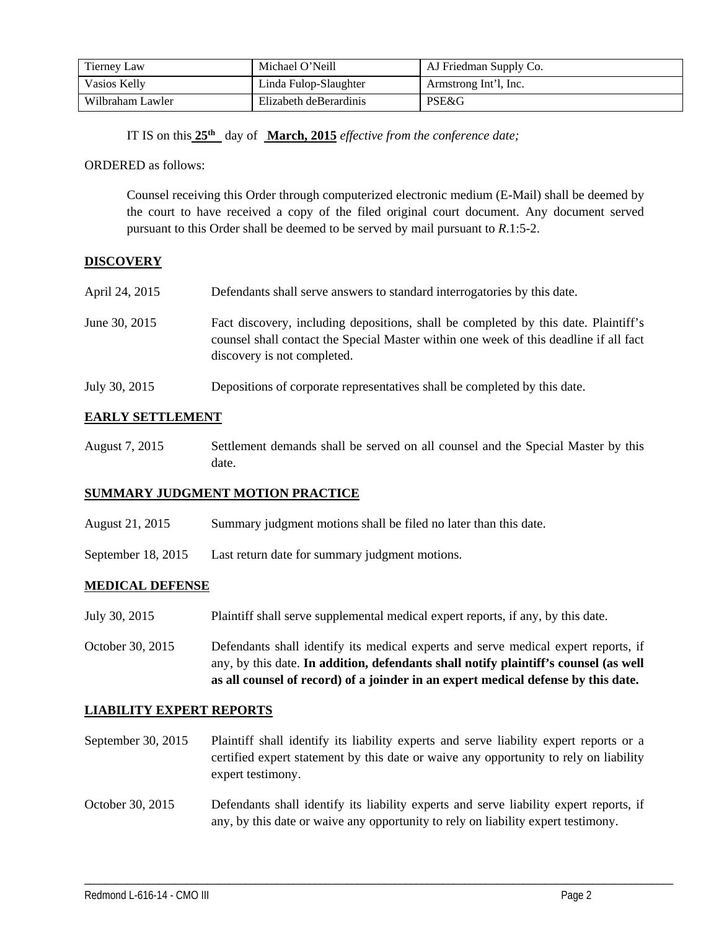| Tierney Law      | Michael O'Neill        | AJ Friedman Supply Co. |
|------------------|------------------------|------------------------|
| Vasios Kelly     | Linda Fulop-Slaughter  | Armstrong Int'l, Inc.  |
| Wilbraham Lawler | Elizabeth deBerardinis | PSE&G                  |

IT IS on this **25th** day of **March, 2015** *effective from the conference date;*

ORDERED as follows:

Counsel receiving this Order through computerized electronic medium (E-Mail) shall be deemed by the court to have received a copy of the filed original court document. Any document served pursuant to this Order shall be deemed to be served by mail pursuant to *R*.1:5-2.

## **DISCOVERY**

| April 24, 2015 | Defendants shall serve answers to standard interrogatories by this date.                                                                                                                                    |
|----------------|-------------------------------------------------------------------------------------------------------------------------------------------------------------------------------------------------------------|
| June 30, 2015  | Fact discovery, including depositions, shall be completed by this date. Plaintiff's<br>counsel shall contact the Special Master within one week of this deadline if all fact<br>discovery is not completed. |

July 30, 2015 Depositions of corporate representatives shall be completed by this date.

#### **EARLY SETTLEMENT**

August 7, 2015 Settlement demands shall be served on all counsel and the Special Master by this date.

#### **SUMMARY JUDGMENT MOTION PRACTICE**

- August 21, 2015 Summary judgment motions shall be filed no later than this date.
- September 18, 2015 Last return date for summary judgment motions.

#### **MEDICAL DEFENSE**

- July 30, 2015 Plaintiff shall serve supplemental medical expert reports, if any, by this date.
- October 30, 2015 Defendants shall identify its medical experts and serve medical expert reports, if any, by this date. **In addition, defendants shall notify plaintiff's counsel (as well as all counsel of record) of a joinder in an expert medical defense by this date.**

#### **LIABILITY EXPERT REPORTS**

- September 30, 2015 Plaintiff shall identify its liability experts and serve liability expert reports or a certified expert statement by this date or waive any opportunity to rely on liability expert testimony.
- October 30, 2015 Defendants shall identify its liability experts and serve liability expert reports, if any, by this date or waive any opportunity to rely on liability expert testimony.

\_\_\_\_\_\_\_\_\_\_\_\_\_\_\_\_\_\_\_\_\_\_\_\_\_\_\_\_\_\_\_\_\_\_\_\_\_\_\_\_\_\_\_\_\_\_\_\_\_\_\_\_\_\_\_\_\_\_\_\_\_\_\_\_\_\_\_\_\_\_\_\_\_\_\_\_\_\_\_\_\_\_\_\_\_\_\_\_\_\_\_\_\_\_\_\_\_\_\_\_\_\_\_\_\_\_\_\_\_\_